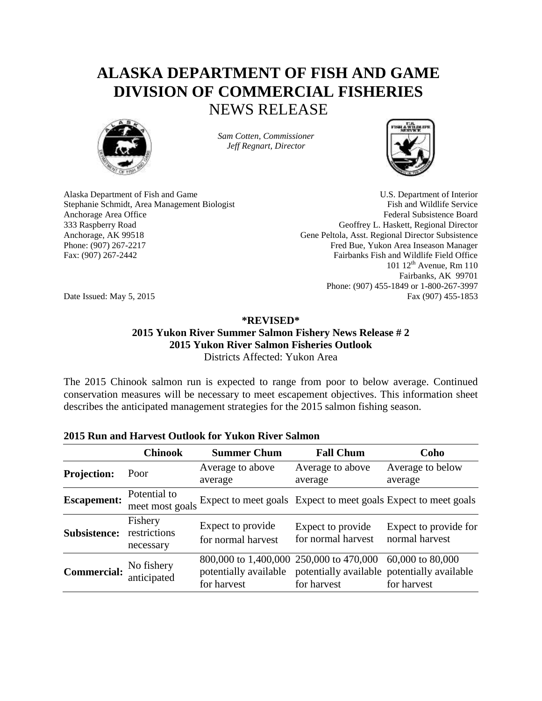# **ALASKA DEPARTMENT OF FISH AND GAME DIVISION OF COMMERCIAL FISHERIES** NEWS RELEASE



*Sam Cotten, Commissioner Jeff Regnart, Director*



Alaska Department of Fish and Game U.S. Department of Interior Stephanie Schmidt, Area Management Biologist Fish and Wildlife Service Anchorage Area Office **Federal Subsistence Board** Federal Subsistence Board 333 Raspberry Road Geoffrey L. Haskett, Regional Director Anchorage, AK 99518 Gene Peltola, Asst. Regional Director Subsistence Phone: (907) 267-2217 Fred Bue, Yukon Area Inseason Manager Fax: (907) 267-2442 Fairbanks Fish and Wildlife Field Office 101 12<sup>th</sup> Avenue, Rm 110 Fairbanks, AK 99701 Phone: (907) 455-1849 or 1-800-267-3997 Date Issued: May 5, 2015 Fax (907) 455-1853

## **\*REVISED\***

### **2015 Yukon River Summer Salmon Fishery News Release # 2 2015 Yukon River Salmon Fisheries Outlook** Districts Affected: Yukon Area

The 2015 Chinook salmon run is expected to range from poor to below average. Continued conservation measures will be necessary to meet escapement objectives. This information sheet describes the anticipated management strategies for the 2015 salmon fishing season.

#### **Chinook Summer Chum Fall Chum Coho Projection:** Poor Average to above average Average to above average Average to below average **Escapement:** Potential to meet most goals Expect to meet goals Expect to meet goals Expect to meet goals **Subsistence:** restrictions Fishery necessary Expect to provide for normal harvest Expect to provide for normal harvest Expect to provide for normal harvest **Commercial:** No fishery anticipated 800,000 to 1,400,000 250,000 to 470,000 potentially available for harvest potentially available potentially available for harvest 60,000 to 80,000 for harvest

### **2015 Run and Harvest Outlook for Yukon River Salmon**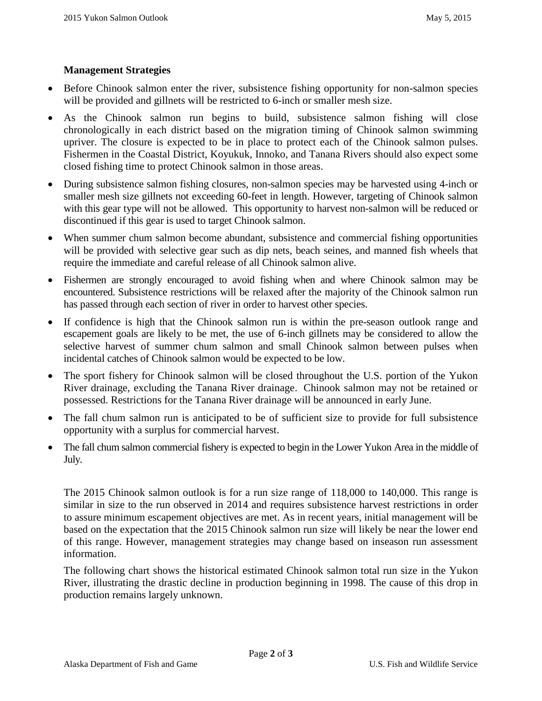### **Management Strategies**

- Before Chinook salmon enter the river, subsistence fishing opportunity for non-salmon species will be provided and gillnets will be restricted to 6-inch or smaller mesh size.
- As the Chinook salmon run begins to build, subsistence salmon fishing will close chronologically in each district based on the migration timing of Chinook salmon swimming upriver. The closure is expected to be in place to protect each of the Chinook salmon pulses. Fishermen in the Coastal District, Koyukuk, Innoko, and Tanana Rivers should also expect some closed fishing time to protect Chinook salmon in those areas.
- During subsistence salmon fishing closures, non-salmon species may be harvested using 4-inch or smaller mesh size gillnets not exceeding 60-feet in length. However, targeting of Chinook salmon with this gear type will not be allowed. This opportunity to harvest non-salmon will be reduced or discontinued if this gear is used to target Chinook salmon.
- When summer chum salmon become abundant, subsistence and commercial fishing opportunities will be provided with selective gear such as dip nets, beach seines, and manned fish wheels that require the immediate and careful release of all Chinook salmon alive.
- Fishermen are strongly encouraged to avoid fishing when and where Chinook salmon may be encountered. Subsistence restrictions will be relaxed after the majority of the Chinook salmon run has passed through each section of river in order to harvest other species.
- If confidence is high that the Chinook salmon run is within the pre-season outlook range and escapement goals are likely to be met, the use of 6-inch gillnets may be considered to allow the selective harvest of summer chum salmon and small Chinook salmon between pulses when incidental catches of Chinook salmon would be expected to be low.
- The sport fishery for Chinook salmon will be closed throughout the U.S. portion of the Yukon River drainage, excluding the Tanana River drainage. Chinook salmon may not be retained or possessed. Restrictions for the Tanana River drainage will be announced in early June.
- The fall chum salmon run is anticipated to be of sufficient size to provide for full subsistence opportunity with a surplus for commercial harvest.
- The fall chum salmon commercial fishery is expected to begin in the Lower Yukon Area in the middle of July.

The 2015 Chinook salmon outlook is for a run size range of 118,000 to 140,000. This range is similar in size to the run observed in 2014 and requires subsistence harvest restrictions in order to assure minimum escapement objectives are met. As in recent years, initial management will be based on the expectation that the 2015 Chinook salmon run size will likely be near the lower end of this range. However, management strategies may change based on inseason run assessment information.

The following chart shows the historical estimated Chinook salmon total run size in the Yukon River, illustrating the drastic decline in production beginning in 1998. The cause of this drop in production remains largely unknown.